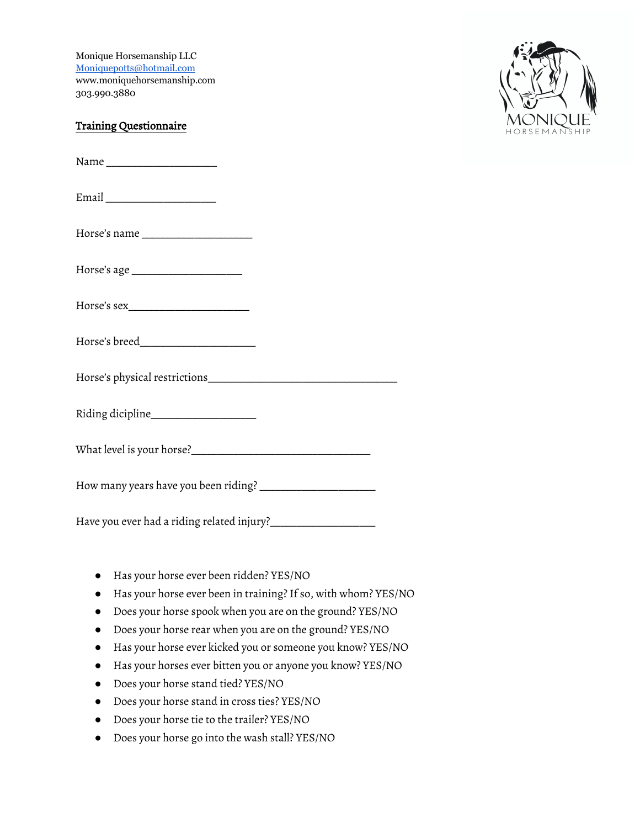Monique Horsemanship LLC Moniquepotts@hotmail.com www.moniquehorsemanship.com 303.990.3880

## Training Questionnaire

Name \_\_\_\_\_\_\_\_\_\_\_\_\_\_\_\_\_\_\_\_\_

Email \_\_\_\_\_\_\_\_\_\_\_\_\_\_\_\_\_\_\_\_\_

Horse's name

Horse's age \_\_\_\_\_\_\_\_\_\_\_\_\_\_\_\_\_\_\_\_\_

Horse's sex\_\_\_\_\_\_\_\_\_\_\_\_\_\_\_\_\_\_\_\_\_\_\_

Horse's breed\_\_\_\_\_\_\_\_\_\_\_\_\_\_\_\_\_\_\_\_\_\_

Horse's physical restrictions

Riding dicipline

What level is your horse?\_\_\_\_\_\_\_\_\_\_\_\_\_\_\_\_\_\_\_\_\_\_\_\_\_\_\_\_\_\_\_\_\_\_

How many years have you been riding? \_\_\_\_\_\_\_\_\_\_\_\_\_\_\_\_\_\_\_\_\_\_

Have you ever had a riding related injury?\_\_\_\_\_\_\_\_\_\_\_\_\_\_\_\_\_\_\_\_

- Has your horse ever been ridden? YES/NO
- Has your horse ever been in training? If so, with whom? YES/NO
- Does your horse spook when you are on the ground? YES/NO
- Does your horse rear when you are on the ground? YES/NO
- Has your horse ever kicked you or someone you know? YES/NO
- Has your horses ever bitten you or anyone you know? YES/NO
- Does your horse stand tied? YES/NO
- Does your horse stand in cross ties? YES/NO
- Does your horse tie to the trailer? YES/NO
- Does your horse go into the wash stall? YES/NO

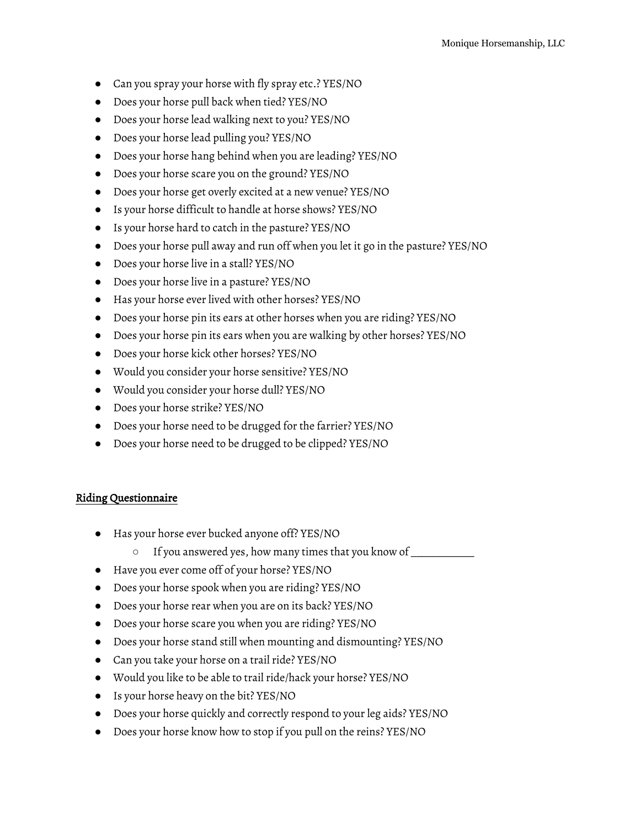- Can you spray your horse with fly spray etc.? YES/NO
- Does your horse pull back when tied? YES/NO
- Does your horse lead walking next to you? YES/NO
- Does your horse lead pulling you? YES/NO
- Does your horse hang behind when you are leading? YES/NO
- Does your horse scare you on the ground? YES/NO
- Does your horse get overly excited at a new venue? YES/NO
- Is your horse difficult to handle at horse shows? YES/NO
- Is your horse hard to catch in the pasture? YES/NO
- Does your horse pull away and run off when you let it go in the pasture? YES/NO
- Does your horse live in a stall? YES/NO
- Does your horse live in a pasture? YES/NO
- Has your horse ever lived with other horses? YES/NO
- Does your horse pin its ears at other horses when you are riding? YES/NO
- Does your horse pin its ears when you are walking by other horses? YES/NO
- Does your horse kick other horses? YES/NO
- Would you consider your horse sensitive? YES/NO
- Would you consider your horse dull? YES/NO
- Does your horse strike? YES/NO
- Does your horse need to be drugged for the farrier? YES/NO
- Does your horse need to be drugged to be clipped? YES/NO

## Riding Questionnaire

- Has your horse ever bucked anyone off? YES/NO
	- If you answered yes, how many times that you know of \_\_\_\_\_\_\_\_\_\_\_\_
- Have you ever come off of your horse? YES/NO
- Does your horse spook when you are riding? YES/NO
- Does your horse rear when you are on its back? YES/NO
- Does your horse scare you when you are riding? YES/NO
- Does your horse stand still when mounting and dismounting? YES/NO
- Can you take your horse on a trail ride? YES/NO
- Would you like to be able to trail ride/hack your horse? YES/NO
- Is your horse heavy on the bit? YES/NO
- Does your horse quickly and correctly respond to your leg aids? YES/NO
- Does your horse know how to stop if you pull on the reins? YES/NO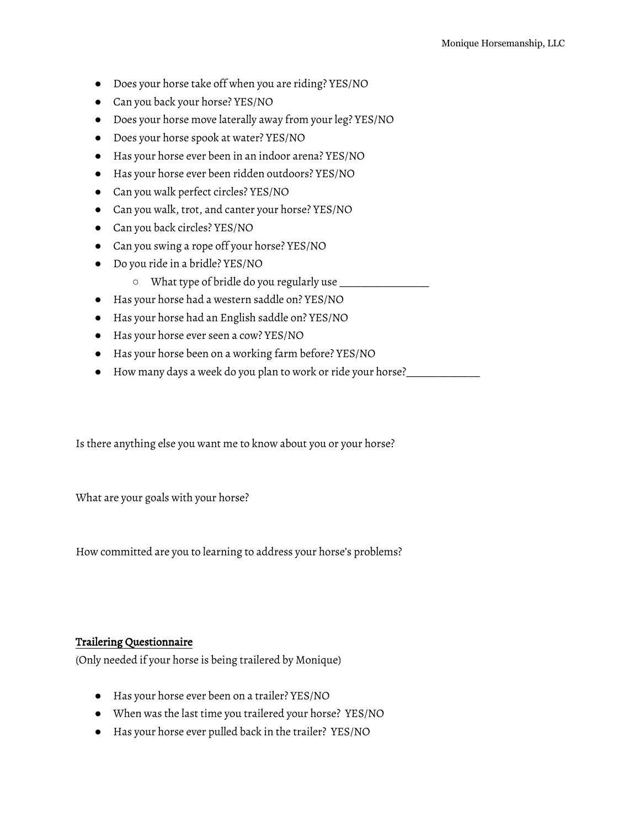- Does your horse take off when you are riding? YES/NO
- Can you back your horse? YES/NO
- Does your horse move laterally away from your leg? YES/NO
- Does your horse spook at water? YES/NO
- Has your horse ever been in an indoor arena? YES/NO
- Has your horse ever been ridden outdoors? YES/NO
- Can you walk perfect circles? YES/NO
- Can you walk, trot, and canter your horse? YES/NO
- Can you back circles? YES/NO
- Can you swing a rope off your horse? YES/NO
- Do you ride in a bridle? YES/NO
	- What type of bridle do you regularly use \_\_\_\_\_\_\_\_\_\_\_\_\_\_\_\_\_
- Has your horse had a western saddle on? YES/NO
- Has your horse had an English saddle on? YES/NO
- Has your horse ever seen a cow? YES/NO
- Has your horse been on a working farm before? YES/NO
- How many days a week do you plan to work or ride your horse?\_\_\_\_\_\_\_\_\_\_\_\_\_\_

Is there anything else you want me to know about you or your horse?

What are your goals with your horse?

How committed are you to learning to address your horse's problems?

## Trailering Questionnaire

(Only needed if your horse is being trailered by Monique)

- Has your horse ever been on a trailer? YES/NO
- When was the last time you trailered your horse? YES/NO
- Has your horse ever pulled back in the trailer? YES/NO